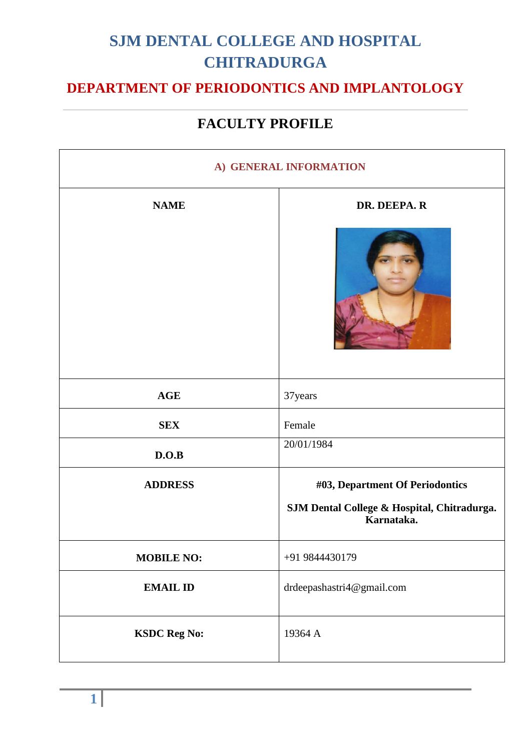### **DEPARTMENT OF PERIODONTICS AND IMPLANTOLOGY**

| A) GENERAL INFORMATION |                                                           |
|------------------------|-----------------------------------------------------------|
| <b>NAME</b>            | DR. DEEPA. R                                              |
|                        |                                                           |
| <b>AGE</b>             | 37 years                                                  |
| <b>SEX</b>             | Female                                                    |
| D.O.B                  | 20/01/1984                                                |
| <b>ADDRESS</b>         | #03, Department Of Periodontics                           |
|                        | SJM Dental College & Hospital, Chitradurga.<br>Karnataka. |
| <b>MOBILE NO:</b>      | +91 9844430179                                            |
| <b>EMAIL ID</b>        | drdeepashastri4@gmail.com                                 |
| <b>KSDC Reg No:</b>    | 19364 A                                                   |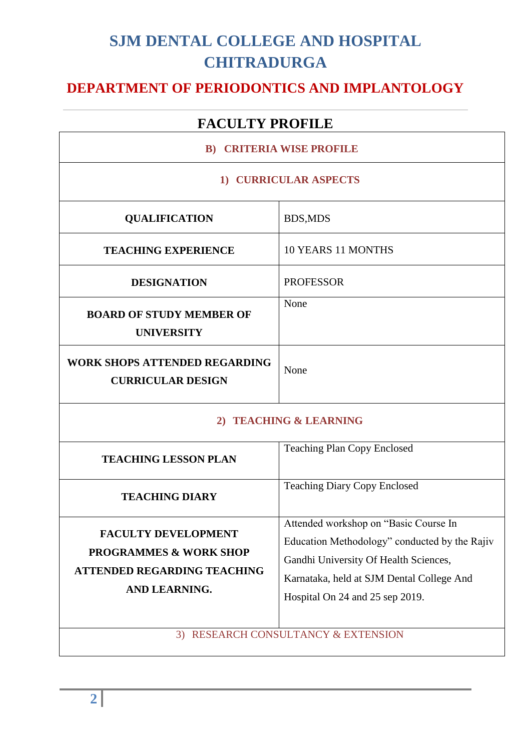### **DEPARTMENT OF PERIODONTICS AND IMPLANTOLOGY**

| <b>B) CRITERIA WISE PROFILE</b>                                                                                        |                                                                                                                                                                                                                 |
|------------------------------------------------------------------------------------------------------------------------|-----------------------------------------------------------------------------------------------------------------------------------------------------------------------------------------------------------------|
| 1) CURRICULAR ASPECTS                                                                                                  |                                                                                                                                                                                                                 |
| <b>QUALIFICATION</b>                                                                                                   | <b>BDS,MDS</b>                                                                                                                                                                                                  |
| <b>TEACHING EXPERIENCE</b>                                                                                             | <b>10 YEARS 11 MONTHS</b>                                                                                                                                                                                       |
| <b>DESIGNATION</b>                                                                                                     | <b>PROFESSOR</b>                                                                                                                                                                                                |
| <b>BOARD OF STUDY MEMBER OF</b><br><b>UNIVERSITY</b>                                                                   | None                                                                                                                                                                                                            |
| <b>WORK SHOPS ATTENDED REGARDING</b><br><b>CURRICULAR DESIGN</b>                                                       | None                                                                                                                                                                                                            |
| 2) TEACHING & LEARNING                                                                                                 |                                                                                                                                                                                                                 |
| <b>TEACHING LESSON PLAN</b>                                                                                            | <b>Teaching Plan Copy Enclosed</b>                                                                                                                                                                              |
| <b>TEACHING DIARY</b>                                                                                                  | <b>Teaching Diary Copy Enclosed</b>                                                                                                                                                                             |
| <b>FACULTY DEVELOPMENT</b><br><b>PROGRAMMES &amp; WORK SHOP</b><br><b>ATTENDED REGARDING TEACHING</b><br>AND LEARNING. | Attended workshop on "Basic Course In<br>Education Methodology" conducted by the Rajiv<br>Gandhi University Of Health Sciences,<br>Karnataka, held at SJM Dental College And<br>Hospital On 24 and 25 sep 2019. |
|                                                                                                                        | 3) RESEARCH CONSULTANCY & EXTENSION                                                                                                                                                                             |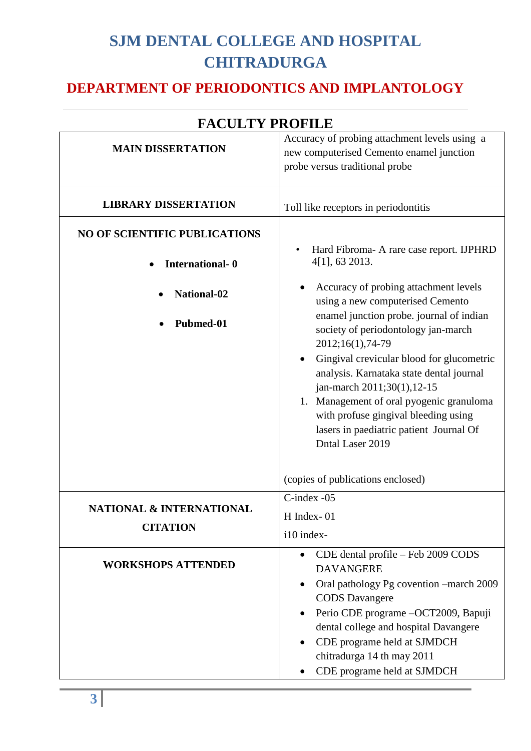### **DEPARTMENT OF PERIODONTICS AND IMPLANTOLOGY**

|                                                        | raculi i nofile                                                                                                                                                                                                                                                                                        |
|--------------------------------------------------------|--------------------------------------------------------------------------------------------------------------------------------------------------------------------------------------------------------------------------------------------------------------------------------------------------------|
| <b>MAIN DISSERTATION</b>                               | Accuracy of probing attachment levels using a<br>new computerised Cemento enamel junction<br>probe versus traditional probe                                                                                                                                                                            |
| <b>LIBRARY DISSERTATION</b>                            | Toll like receptors in periodontitis                                                                                                                                                                                                                                                                   |
| <b>NO OF SCIENTIFIC PUBLICATIONS</b>                   | Hard Fibroma- A rare case report. IJPHRD                                                                                                                                                                                                                                                               |
| <b>International-0</b>                                 | 4[1], 63 2013.                                                                                                                                                                                                                                                                                         |
| National-02                                            | Accuracy of probing attachment levels<br>using a new computerised Cemento                                                                                                                                                                                                                              |
| Pubmed-01                                              | enamel junction probe. journal of indian<br>society of periodontology jan-march<br>2012;16(1),74-79                                                                                                                                                                                                    |
|                                                        | Gingival crevicular blood for glucometric<br>$\bullet$<br>analysis. Karnataka state dental journal<br>jan-march 2011;30(1),12-15<br>1. Management of oral pyogenic granuloma<br>with profuse gingival bleeding using<br>lasers in paediatric patient Journal Of<br>Dntal Laser 2019                    |
|                                                        | (copies of publications enclosed)                                                                                                                                                                                                                                                                      |
| <b>NATIONAL &amp; INTERNATIONAL</b><br><b>CITATION</b> | C-index -05<br>H Index-01<br>i10 index-                                                                                                                                                                                                                                                                |
| <b>WORKSHOPS ATTENDED</b>                              | CDE dental profile - Feb 2009 CODS<br><b>DAVANGERE</b><br>Oral pathology Pg covention –march 2009<br><b>CODS</b> Davangere<br>Perio CDE programe -OCT2009, Bapuji<br>dental college and hospital Davangere<br>CDE programe held at SJMDCH<br>chitradurga 14 th may 2011<br>CDE programe held at SJMDCH |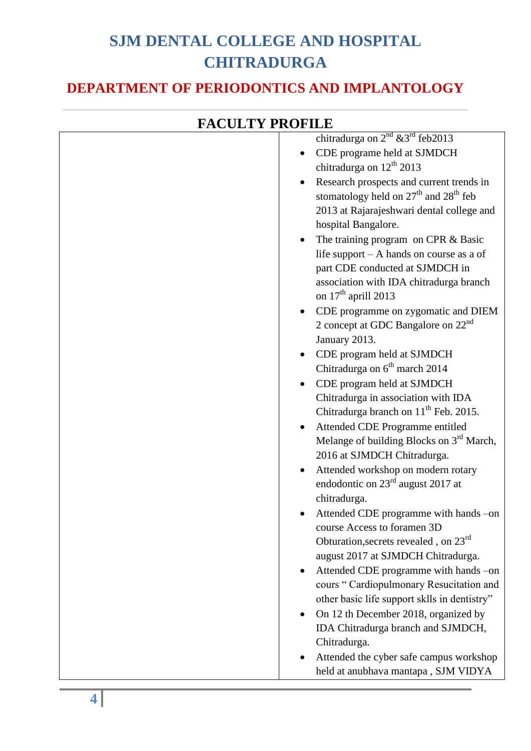#### **DEPARTMENT OF PERIODONTICS AND IMPLANTOLOGY**

| FACULTY PROFILE |                                                      |
|-----------------|------------------------------------------------------|
|                 | chitradurga on $2^{nd}$ & 3 <sup>rd</sup> feb2013    |
|                 | CDE programe held at SJMDCH                          |
|                 | chitradurga on $12^{th}$ 2013                        |
|                 | Research prospects and current trends in             |
|                 | stomatology held on $27th$ and $28th$ feb            |
|                 | 2013 at Rajarajeshwari dental college and            |
|                 | hospital Bangalore.                                  |
|                 | The training program on CPR & Basic                  |
|                 | life support $- A$ hands on course as a of           |
|                 | part CDE conducted at SJMDCH in                      |
|                 | association with IDA chitradurga branch              |
|                 | on 17 <sup>th</sup> aprill 2013                      |
|                 | CDE programme on zygomatic and DIEM                  |
|                 | 2 concept at GDC Bangalore on $22nd$                 |
|                 | January 2013.                                        |
|                 | CDE program held at SJMDCH                           |
|                 | Chitradurga on 6 <sup>th</sup> march 2014            |
|                 | CDE program held at SJMDCH                           |
|                 | Chitradurga in association with IDA                  |
|                 | Chitradurga branch on 11 <sup>th</sup> Feb. 2015.    |
|                 | Attended CDE Programme entitled                      |
|                 | Melange of building Blocks on 3 <sup>rd</sup> March, |
|                 | 2016 at SJMDCH Chitradurga.                          |
|                 | Attended workshop on modern rotary<br>$\bullet$      |
|                 | endodontic on $23rd$ august 2017 at                  |
|                 | chitradurga.                                         |
|                 | Attended CDE programme with hands -on                |
|                 | course Access to foramen 3D                          |
|                 | Obturation, secrets revealed, on 23 <sup>rd</sup>    |
|                 | august 2017 at SJMDCH Chitradurga.                   |
|                 | Attended CDE programme with hands -on                |
|                 | cours "Cardiopulmonary Resucitation and              |
|                 | other basic life support sklls in dentistry"         |
|                 | On 12 th December 2018, organized by                 |
|                 | IDA Chitradurga branch and SJMDCH,                   |
|                 | Chitradurga.                                         |
|                 | Attended the cyber safe campus workshop              |
|                 | held at anubhava mantapa, SJM VIDYA                  |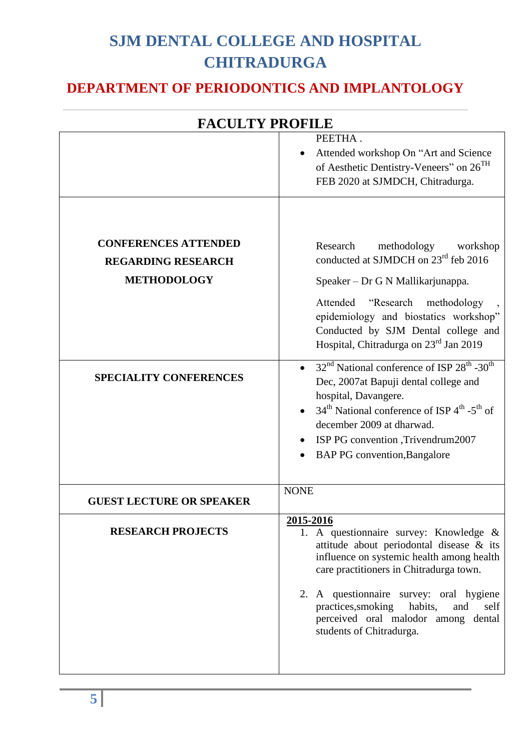#### **DEPARTMENT OF PERIODONTICS AND IMPLANTOLOGY**

|                                 | <b>FACULTY PROFILE</b>                                                                                                                                                                                                                                                                                                                                |  |  |
|---------------------------------|-------------------------------------------------------------------------------------------------------------------------------------------------------------------------------------------------------------------------------------------------------------------------------------------------------------------------------------------------------|--|--|
|                                 | PEETHA.<br>Attended workshop On "Art and Science<br>of Aesthetic Dentistry-Veneers" on 26 <sup>TH</sup>                                                                                                                                                                                                                                               |  |  |
|                                 | FEB 2020 at SJMDCH, Chitradurga.                                                                                                                                                                                                                                                                                                                      |  |  |
| <b>CONFERENCES ATTENDED</b>     | Research<br>methodology<br>workshop                                                                                                                                                                                                                                                                                                                   |  |  |
| <b>REGARDING RESEARCH</b>       | conducted at SJMDCH on 23 <sup>rd</sup> feb 2016                                                                                                                                                                                                                                                                                                      |  |  |
| <b>METHODOLOGY</b>              | Speaker - Dr G N Mallikarjunappa.                                                                                                                                                                                                                                                                                                                     |  |  |
|                                 | "Research<br>Attended<br>methodology<br>epidemiology and biostatics workshop"<br>Conducted by SJM Dental college and<br>Hospital, Chitradurga on 23 <sup>rd</sup> Jan 2019                                                                                                                                                                            |  |  |
| <b>SPECIALITY CONFERENCES</b>   | • $32nd$ National conference of ISP $28th$ -30 <sup>th</sup><br>Dec, 2007at Bapuji dental college and<br>hospital, Davangere.<br>$34th$ National conference of ISP $4th$ -5 <sup>th</sup> of<br>december 2009 at dharwad.<br>ISP PG convention , Trivendrum2007<br><b>BAP PG</b> convention, Bangalore                                                |  |  |
| <b>GUEST LECTURE OR SPEAKER</b> | <b>NONE</b>                                                                                                                                                                                                                                                                                                                                           |  |  |
| <b>RESEARCH PROJECTS</b>        | 2015-2016<br>1. A questionnaire survey: Knowledge &<br>attitude about periodontal disease & its<br>influence on systemic health among health<br>care practitioners in Chitradurga town.<br>2. A questionnaire survey: oral hygiene<br>practices, smoking<br>habits,<br>and<br>self<br>perceived oral malodor among dental<br>students of Chitradurga. |  |  |
|                                 |                                                                                                                                                                                                                                                                                                                                                       |  |  |